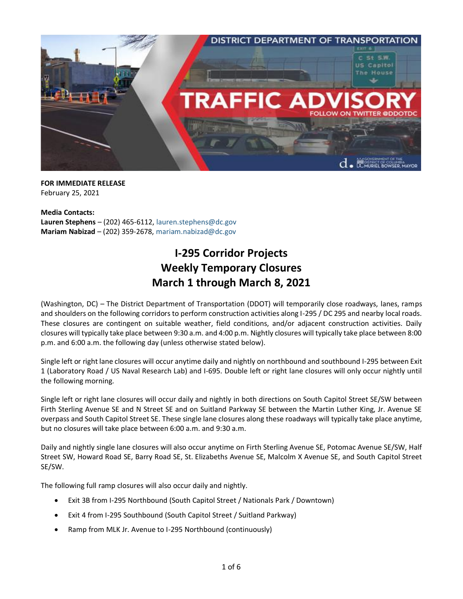

**FOR IMMEDIATE RELEASE** February 25, 2021

**Media Contacts: Lauren Stephens** – (202) 465-6112, [lauren.stephens@dc.gov](mailto:lauren.stephens@dc.gov) **Mariam Nabizad** – (202) 359-2678, [mariam.nabizad@dc.gov](mailto:mariam.nabizad@dc.gov)

## **I-295 Corridor Projects Weekly Temporary Closures March 1 through March 8, 2021**

(Washington, DC) – The District Department of Transportation (DDOT) will temporarily close roadways, lanes, ramps and shoulders on the following corridors to perform construction activities along I-295 / DC 295 and nearby local roads. These closures are contingent on suitable weather, field conditions, and/or adjacent construction activities. Daily closures will typically take place between 9:30 a.m. and 4:00 p.m. Nightly closures will typically take place between 8:00 p.m. and 6:00 a.m. the following day (unless otherwise stated below).

Single left or right lane closures will occur anytime daily and nightly on northbound and southbound I-295 between Exit 1 (Laboratory Road / US Naval Research Lab) and I-695. Double left or right lane closures will only occur nightly until the following morning.

Single left or right lane closures will occur daily and nightly in both directions on South Capitol Street SE/SW between Firth Sterling Avenue SE and N Street SE and on Suitland Parkway SE between the Martin Luther King, Jr. Avenue SE overpass and South Capitol Street SE. These single lane closures along these roadways will typically take place anytime, but no closures will take place between 6:00 a.m. and 9:30 a.m.

Daily and nightly single lane closures will also occur anytime on Firth Sterling Avenue SE, Potomac Avenue SE/SW, Half Street SW, Howard Road SE, Barry Road SE, St. Elizabeths Avenue SE, Malcolm X Avenue SE, and South Capitol Street SE/SW.

The following full ramp closures will also occur daily and nightly.

- Exit 3B from I-295 Northbound (South Capitol Street / Nationals Park / Downtown)
- Exit 4 from I-295 Southbound (South Capitol Street / Suitland Parkway)
- Ramp from MLK Jr. Avenue to I-295 Northbound (continuously)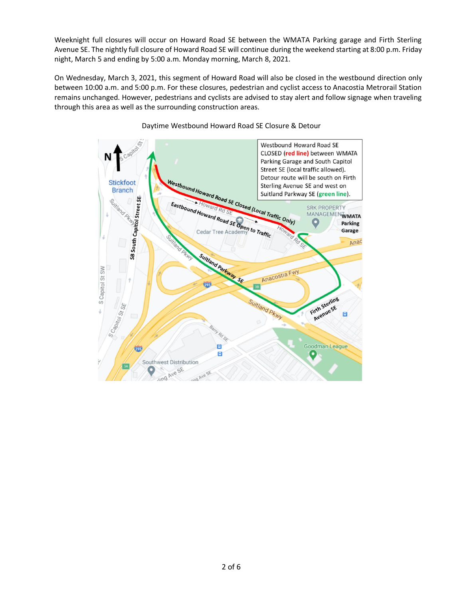Weeknight full closures will occur on Howard Road SE between the WMATA Parking garage and Firth Sterling Avenue SE. The nightly full closure of Howard Road SE will continue during the weekend starting at 8:00 p.m. Friday night, March 5 and ending by 5:00 a.m. Monday morning, March 8, 2021.

On Wednesday, March 3, 2021, this segment of Howard Road will also be closed in the westbound direction only between 10:00 a.m. and 5:00 p.m. For these closures, pedestrian and cyclist access to Anacostia Metrorail Station remains unchanged. However, pedestrians and cyclists are advised to stay alert and follow signage when traveling through this area as well as the surrounding construction areas.



Daytime Westbound Howard Road SE Closure & Detour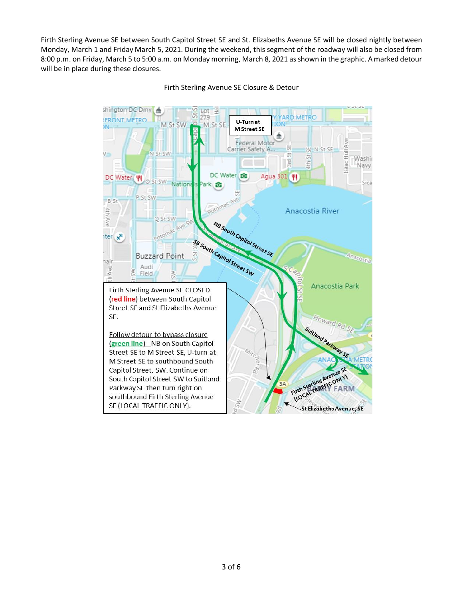Firth Sterling Avenue SE between South Capitol Street SE and St. Elizabeths Avenue SE will be closed nightly between Monday, March 1 and Friday March 5, 2021. During the weekend, this segment of the roadway will also be closed from 8:00 p.m. on Friday, March 5 to 5:00 a.m. on Monday morning, March 8, 2021 as shown in the graphic. A marked detour will be in place during these closures.



Firth Sterling Avenue SE Closure & Detour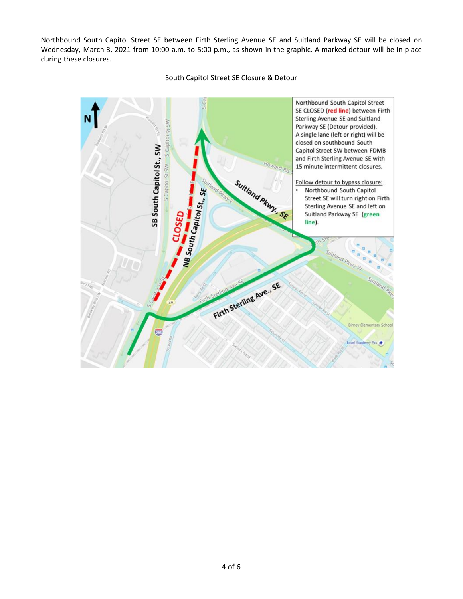Northbound South Capitol Street SE between Firth Sterling Avenue SE and Suitland Parkway SE will be closed on Wednesday, March 3, 2021 from 10:00 a.m. to 5:00 p.m., as shown in the graphic. A marked detour will be in place during these closures.



## South Capitol Street SE Closure & Detour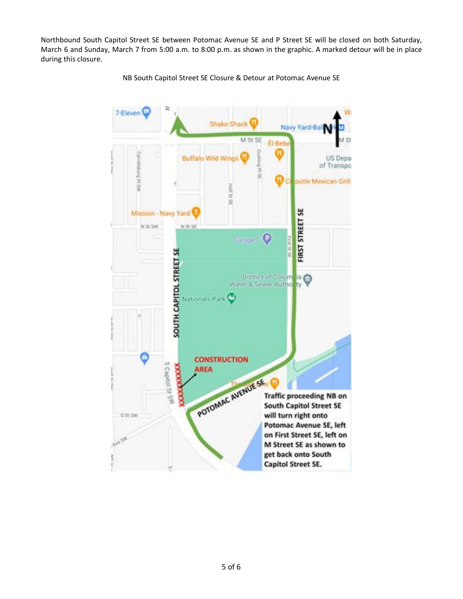Northbound South Capitol Street SE between Potomac Avenue SE and P Street SE will be closed on both Saturday, March 6 and Sunday, March 7 from 5:00 a.m. to 8:00 p.m. as shown in the graphic. A marked detour will be in place during this closure.



NB South Capitol Street SE Closure & Detour at Potomac Avenue SE